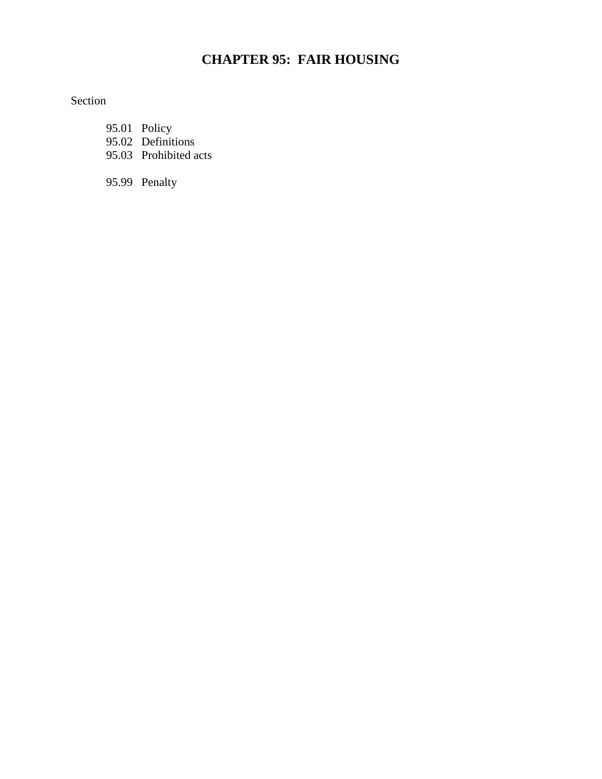# **CHAPTER 95: FAIR HOUSING**

## Section

- 95.01 Policy
- 95.02 Definitions
- 95.03 Prohibited acts

95.99 Penalty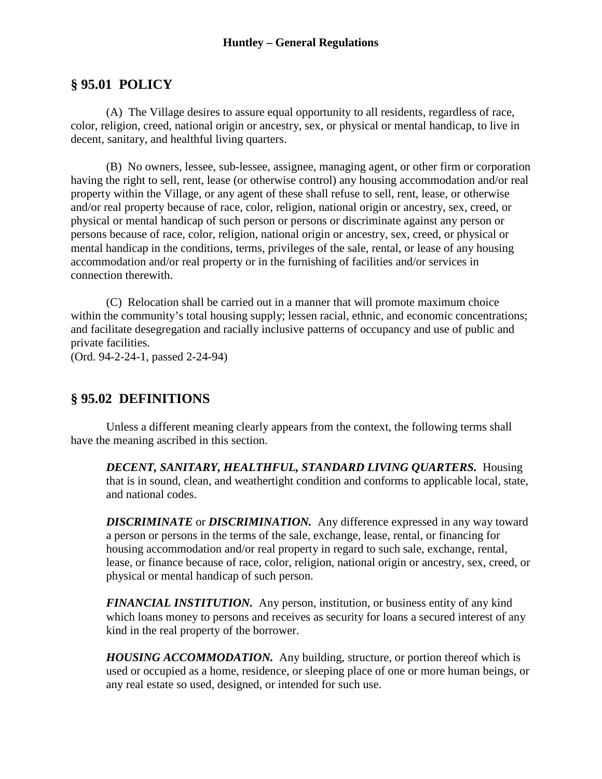### **Huntley – General Regulations**

### **§ 95.01 POLICY**

(A) The Village desires to assure equal opportunity to all residents, regardless of race, color, religion, creed, national origin or ancestry, sex, or physical or mental handicap, to live in decent, sanitary, and healthful living quarters.

(B) No owners, lessee, sub-lessee, assignee, managing agent, or other firm or corporation having the right to sell, rent, lease (or otherwise control) any housing accommodation and/or real property within the Village, or any agent of these shall refuse to sell, rent, lease, or otherwise and/or real property because of race, color, religion, national origin or ancestry, sex, creed, or physical or mental handicap of such person or persons or discriminate against any person or persons because of race, color, religion, national origin or ancestry, sex, creed, or physical or mental handicap in the conditions, terms, privileges of the sale, rental, or lease of any housing accommodation and/or real property or in the furnishing of facilities and/or services in connection therewith.

(C) Relocation shall be carried out in a manner that will promote maximum choice within the community's total housing supply; lessen racial, ethnic, and economic concentrations; and facilitate desegregation and racially inclusive patterns of occupancy and use of public and private facilities.

(Ord. 94-2-24-1, passed 2-24-94)

### **§ 95.02 DEFINITIONS**

Unless a different meaning clearly appears from the context, the following terms shall have the meaning ascribed in this section.

*DECENT, SANITARY, HEALTHFUL, STANDARD LIVING QUARTERS.* Housing that is in sound, clean, and weathertight condition and conforms to applicable local, state, and national codes.

*DISCRIMINATE* or *DISCRIMINATION.* Any difference expressed in any way toward a person or persons in the terms of the sale, exchange, lease, rental, or financing for housing accommodation and/or real property in regard to such sale, exchange, rental, lease, or finance because of race, color, religion, national origin or ancestry, sex, creed, or physical or mental handicap of such person.

*FINANCIAL INSTITUTION.* Any person, institution, or business entity of any kind which loans money to persons and receives as security for loans a secured interest of any kind in the real property of the borrower.

*HOUSING ACCOMMODATION.* Any building, structure, or portion thereof which is used or occupied as a home, residence, or sleeping place of one or more human beings, or any real estate so used, designed, or intended for such use.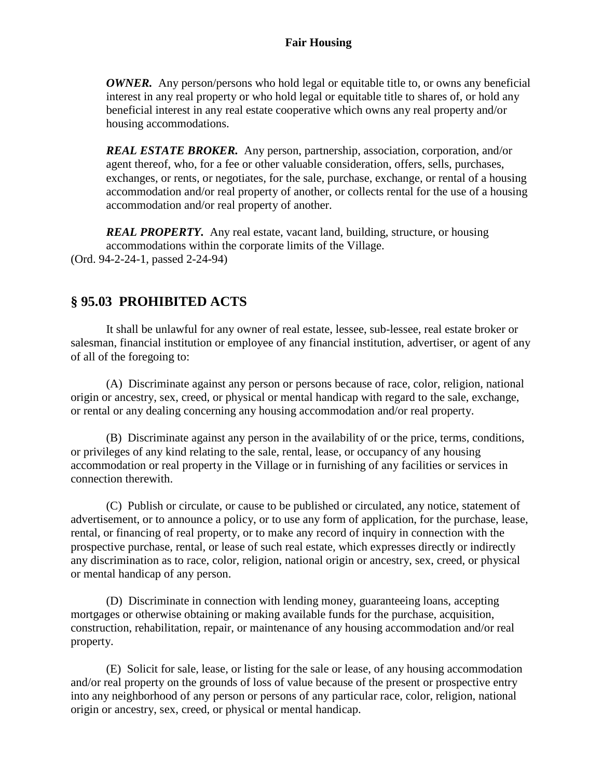### **Fair Housing**

*OWNER.* Any person/persons who hold legal or equitable title to, or owns any beneficial interest in any real property or who hold legal or equitable title to shares of, or hold any beneficial interest in any real estate cooperative which owns any real property and/or housing accommodations.

*REAL ESTATE BROKER.* Any person, partnership, association, corporation, and/or agent thereof, who, for a fee or other valuable consideration, offers, sells, purchases, exchanges, or rents, or negotiates, for the sale, purchase, exchange, or rental of a housing accommodation and/or real property of another, or collects rental for the use of a housing accommodation and/or real property of another.

*REAL PROPERTY.* Any real estate, vacant land, building, structure, or housing accommodations within the corporate limits of the Village. (Ord. 94-2-24-1, passed 2-24-94)

## **§ 95.03 PROHIBITED ACTS**

It shall be unlawful for any owner of real estate, lessee, sub-lessee, real estate broker or salesman, financial institution or employee of any financial institution, advertiser, or agent of any of all of the foregoing to:

(A) Discriminate against any person or persons because of race, color, religion, national origin or ancestry, sex, creed, or physical or mental handicap with regard to the sale, exchange, or rental or any dealing concerning any housing accommodation and/or real property.

(B) Discriminate against any person in the availability of or the price, terms, conditions, or privileges of any kind relating to the sale, rental, lease, or occupancy of any housing accommodation or real property in the Village or in furnishing of any facilities or services in connection therewith.

(C) Publish or circulate, or cause to be published or circulated, any notice, statement of advertisement, or to announce a policy, or to use any form of application, for the purchase, lease, rental, or financing of real property, or to make any record of inquiry in connection with the prospective purchase, rental, or lease of such real estate, which expresses directly or indirectly any discrimination as to race, color, religion, national origin or ancestry, sex, creed, or physical or mental handicap of any person.

(D) Discriminate in connection with lending money, guaranteeing loans, accepting mortgages or otherwise obtaining or making available funds for the purchase, acquisition, construction, rehabilitation, repair, or maintenance of any housing accommodation and/or real property.

(E) Solicit for sale, lease, or listing for the sale or lease, of any housing accommodation and/or real property on the grounds of loss of value because of the present or prospective entry into any neighborhood of any person or persons of any particular race, color, religion, national origin or ancestry, sex, creed, or physical or mental handicap.